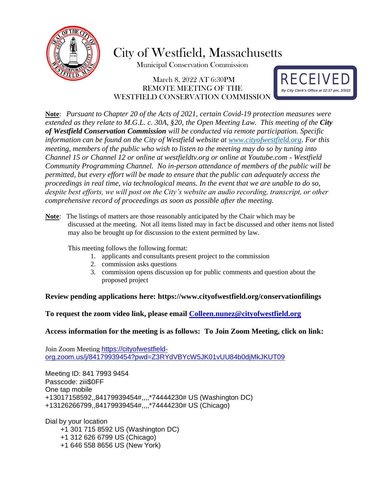

# City of Westfield, Massachusetts

Municipal Conservation Commission

# March 8, 2022 AT 6:30PM REMOTE MEETING OF THE WESTFIELD CONSERVATION COMMISSION



**Note**: *Pursuant to Chapter 20 of the Acts of 2021, certain Covid-19 protection measures were extended as they relate to M.G.L. c. 30A, §20, the Open Meeting Law. This meeting of the City of Westfield Conservation Commission will be conducted via remote participation. Specific information can be found on the City of Westfield website at [www.cityofwestfield.org.](http://www.cityofwestfield.org/) For this meeting, members of the public who wish to listen to the meeting may do so by tuning into Channel 15 or Channel 12 or online at westfieldtv.org or online at Youtube.com - Westfield Community Programming Channel. No in-person attendance of members of the public will be permitted, but every effort will be made to ensure that the public can adequately access the proceedings in real time, via technological means. In the event that we are unable to do so, despite best efforts, we will post on the City's website an audio recording, transcript, or other comprehensive record of proceedings as soon as possible after the meeting.*

**Note**: The listings of matters are those reasonably anticipated by the Chair which may be discussed at the meeting. Not all items listed may in fact be discussed and other items not listed may also be brought up for discussion to the extent permitted by law.

This meeting follows the following format:

- 1. applicants and consultants present project to the commission
- 2. commission asks questions
- 3. commission opens discussion up for public comments and question about the proposed project

## **Review pending applications here:<https://www.cityofwestfield.org/conservationfilings>**

**To request the zoom video link, please email [Colleen.nunez@cityo](mailto:Meredith.borenstein@cityofwestfield.org)fwestfield.org**

## **Access information for the meeting is as follows: To Join Zoom Meeting, click on link:**

Join Zoom Meeting [https://cityofwestfield](https://cityofwestfield-org.zoom.us/j/84179939454?pwd=Z3RYdVBYcW5JK01vUU84b0djMkJKUT09)[org.zoom.us/j/84179939454?pwd=Z3RYdVBYcW5JK01vUU84b0djMkJKUT09](https://cityofwestfield-org.zoom.us/j/84179939454?pwd=Z3RYdVBYcW5JK01vUU84b0djMkJKUT09)

Meeting ID: 841 7993 9454 Passcode: ziii\$0FF One tap mobile +13017158592,,84179939454#,,,,\*74444230# US (Washington DC) +13126266799,,84179939454#,,,,\*74444230# US (Chicago)

Dial by your location

- +1 301 715 8592 US (Washington DC)
- +1 312 626 6799 US (Chicago)
- +1 646 558 8656 US (New York)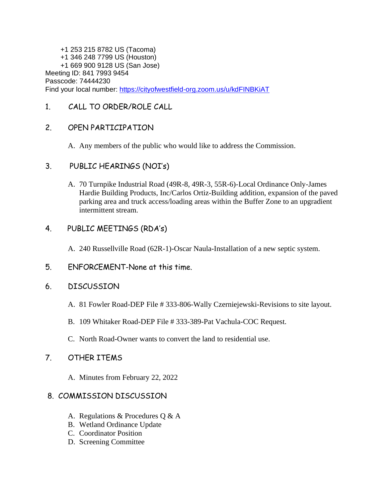+1 253 215 8782 US (Tacoma) +1 346 248 7799 US (Houston) +1 669 900 9128 US (San Jose) Meeting ID: 841 7993 9454 Passcode: 74444230 Find your local number:<https://cityofwestfield-org.zoom.us/u/kdFINBKiAT>

# 1. CALL TO ORDER/ROLE CALL

# 2. OPEN PARTICIPATION

A. Any members of the public who would like to address the Commission.

## 3. PUBLIC HEARINGS (NOI's)

A. 70 Turnpike Industrial Road (49R-8, 49R-3, 55R-6)-Local Ordinance Only-James Hardie Building Products, Inc/Carlos Ortiz-Building addition, expansion of the paved parking area and truck access/loading areas within the Buffer Zone to an upgradient intermittent stream.

# 4. PUBLIC MEETINGS (RDA's)

- A. 240 Russellville Road (62R-1)-Oscar Naula-Installation of a new septic system.
- 5. ENFORCEMENT-None at this time.

## 6. DISCUSSION

- A. 81 Fowler Road-DEP File # 333-806-Wally Czerniejewski-Revisions to site layout.
- B. 109 Whitaker Road-DEP File # 333-389-Pat Vachula-COC Request.
- C. North Road-Owner wants to convert the land to residential use.

## 7. OTHER ITEMS

A. Minutes from February 22, 2022

## 8. COMMISSION DISCUSSION

- A. Regulations & Procedures Q & A
- B. Wetland Ordinance Update
- C. Coordinator Position
- D. Screening Committee